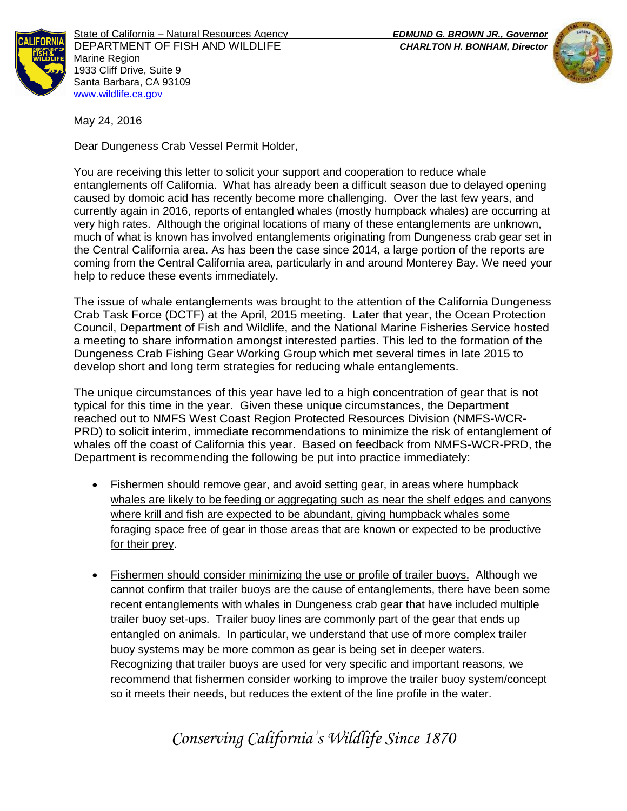

State of California – Natural Resources Agency *EDMUND G. BROWN JR., Governor* DEPARTMENT OF FISH AND WILDLIFE *CHARLTON H. BONHAM, Director*  Marine Region 1933 Cliff Drive, Suite 9 Santa Barbara, CA 93109 [www.wildlife.ca.gov](http://www.cdfw.ca.gov/)



May 24, 2016

Dear Dungeness Crab Vessel Permit Holder,

You are receiving this letter to solicit your support and cooperation to reduce whale entanglements off California. What has already been a difficult season due to delayed opening caused by domoic acid has recently become more challenging. Over the last few years, and currently again in 2016, reports of entangled whales (mostly humpback whales) are occurring at very high rates. Although the original locations of many of these entanglements are unknown, much of what is known has involved entanglements originating from Dungeness crab gear set in the Central California area. As has been the case since 2014, a large portion of the reports are coming from the Central California area, particularly in and around Monterey Bay. We need your help to reduce these events immediately.

The issue of whale entanglements was brought to the attention of the California Dungeness Crab Task Force (DCTF) at the April, 2015 meeting. Later that year, the Ocean Protection Council, Department of Fish and Wildlife, and the National Marine Fisheries Service hosted a meeting to share information amongst interested parties. This led to the formation of the Dungeness Crab Fishing Gear Working Group which met several times in late 2015 to develop short and long term strategies for reducing whale entanglements.

The unique circumstances of this year have led to a high concentration of gear that is not typical for this time in the year. Given these unique circumstances, the Department reached out to NMFS West Coast Region Protected Resources Division (NMFS-WCR-PRD) to solicit interim, immediate recommendations to minimize the risk of entanglement of whales off the coast of California this year. Based on feedback from NMFS-WCR-PRD, the Department is recommending the following be put into practice immediately:

- Fishermen should remove gear, and avoid setting gear, in areas where humpback whales are likely to be feeding or aggregating such as near the shelf edges and canyons where krill and fish are expected to be abundant, giving humpback whales some foraging space free of gear in those areas that are known or expected to be productive for their prey.
- Fishermen should consider minimizing the use or profile of trailer buoys. Although we cannot confirm that trailer buoys are the cause of entanglements, there have been some recent entanglements with whales in Dungeness crab gear that have included multiple trailer buoy set-ups. Trailer buoy lines are commonly part of the gear that ends up entangled on animals. In particular, we understand that use of more complex trailer buoy systems may be more common as gear is being set in deeper waters. Recognizing that trailer buoys are used for very specific and important reasons, we recommend that fishermen consider working to improve the trailer buoy system/concept so it meets their needs, but reduces the extent of the line profile in the water.

## *Conserving California's Wildlife Since 1870*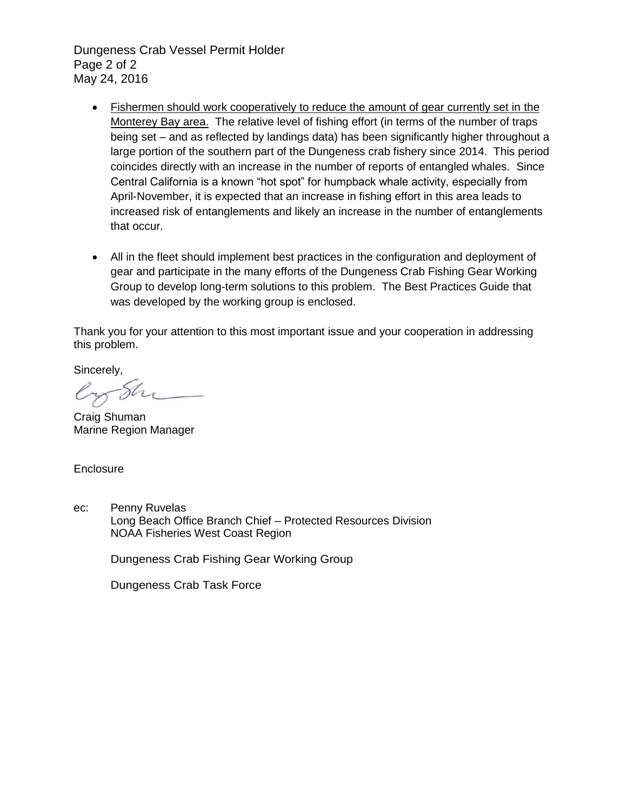Dungeness Crab Vessel Permit Holder Page 2 of 2 May 24, 2016

- Fishermen should work cooperatively to reduce the amount of gear currently set in the Monterey Bay area. The relative level of fishing effort (in terms of the number of traps being set – and as reflected by landings data) has been significantly higher throughout a large portion of the southern part of the Dungeness crab fishery since 2014. This period coincides directly with an increase in the number of reports of entangled whales. Since Central California is a known "hot spot" for humpback whale activity, especially from April-November, it is expected that an increase in fishing effort in this area leads to increased risk of entanglements and likely an increase in the number of entanglements that occur.
- All in the fleet should implement best practices in the configuration and deployment of gear and participate in the many efforts of the Dungeness Crab Fishing Gear Working Group to develop long-term solutions to this problem. The Best Practices Guide that was developed by the working group is enclosed.

Thank you for your attention to this most important issue and your cooperation in addressing this problem.

Sincerely,

Sh

Craig Shuman Marine Region Manager

**Enclosure** 

ec: Penny Ruvelas Long Beach Office Branch Chief – Protected Resources Division NOAA Fisheries West Coast Region

Dungeness Crab Fishing Gear Working Group

Dungeness Crab Task Force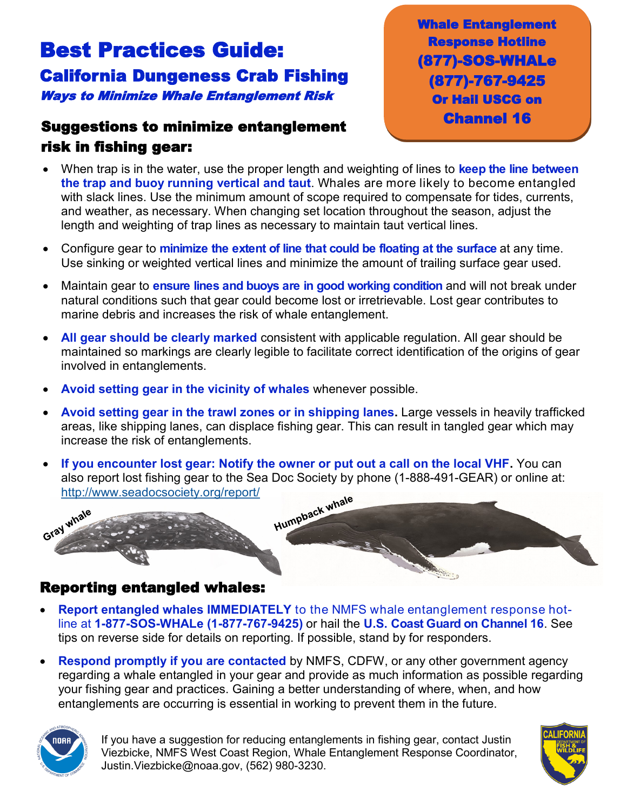# Best Practices Guide: California Dungeness Crab Fishing Ways to Minimize Whale Entanglement Risk

#### Suggestions to minimize entanglement risk in fishing gear:

Whale Entanglement Response Hotline (877)-SOS-WHALe (877)-767-9425 Or Hail USCG on Channel 16

- When trap is in the water, use the proper length and weighting of lines to **keep the line between the trap and buoy running vertical and taut**. Whales are more likely to become entangled with slack lines. Use the minimum amount of scope required to compensate for tides, currents, and weather, as necessary. When changing set location throughout the season, adjust the length and weighting of trap lines as necessary to maintain taut vertical lines.
- Configure gear to **minimize the extent of line that could be floating at the surface** at any time. Use sinking or weighted vertical lines and minimize the amount of trailing surface gear used.
- Maintain gear to **ensure lines and buoys are in good working condition** and will not break under natural conditions such that gear could become lost or irretrievable. Lost gear contributes to marine debris and increases the risk of whale entanglement.
- **All gear should be clearly marked** consistent with applicable regulation. All gear should be maintained so markings are clearly legible to facilitate correct identification of the origins of gear involved in entanglements.
- **Avoid setting gear in the vicinity of whales** whenever possible.
- **Avoid setting gear in the trawl zones or in shipping lanes.** Large vessels in heavily trafficked areas, like shipping lanes, can displace fishing gear. This can result in tangled gear which may increase the risk of entanglements.
- **If you encounter lost gear: Notify the owner or put out a call on the local VHF.** You can also report lost fishing gear to the Sea Doc Society by phone (1-888-491-GEAR) or online at: <http://www.seadocsociety.org/report/>



#### Reporting entangled whales:

- **Report entangled whales IMMEDIATELY** to the NMFS whale entanglement response hotline at **1-877-SOS-WHALe (1-877-767-9425)** or hail the **U.S. Coast Guard on Channel 16**. See tips on reverse side for details on reporting. If possible, stand by for responders.
- **Respond promptly if you are contacted** by NMFS, CDFW, or any other government agency regarding a whale entangled in your gear and provide as much information as possible regarding your fishing gear and practices. Gaining a better understanding of where, when, and how entanglements are occurring is essential in working to prevent them in the future.



If you have a suggestion for reducing entanglements in fishing gear, contact Justin Viezbicke, NMFS West Coast Region, Whale Entanglement Response Coordinator, Justin.Viezbicke@noaa.gov, (562) 980-3230.